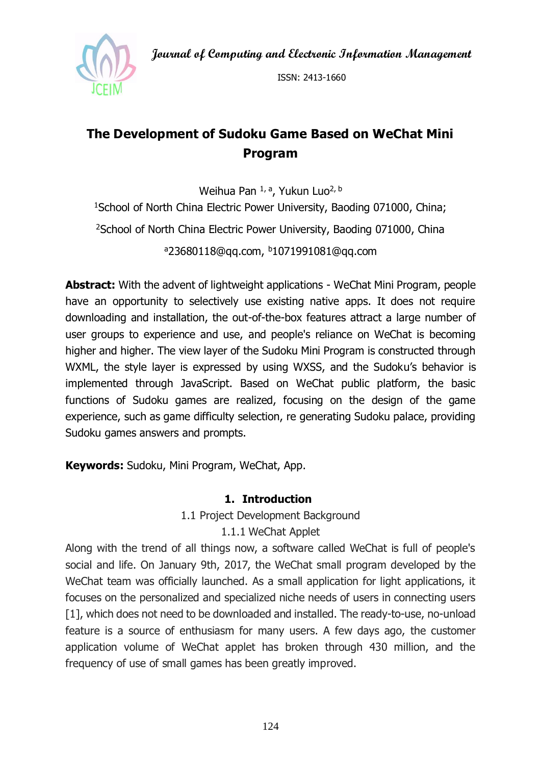**Journal of Computing and Electronic Information Management**



ISSN: 2413-1660

# **The Development of Sudoku Game Based on WeChat Mini Program**

Weihua Pan <sup>1, a</sup>, Yukun Luo<sup>2, b</sup> <sup>1</sup>School of North China Electric Power University, Baoding 071000, China; <sup>2</sup>School of North China Electric Power University, Baoding 071000, China <sup>a</sup>23680118@qq.com, <sup>b</sup>1071991081@qq.com

**Abstract:** With the advent of lightweight applications - WeChat Mini Program, people have an opportunity to selectively use existing native apps. It does not require downloading and installation, the out-of-the-box features attract a large number of user groups to experience and use, and people's reliance on WeChat is becoming higher and higher. The view layer of the Sudoku Mini Program is constructed through WXML, the style layer is expressed by using WXSS, and the Sudoku's behavior is implemented through JavaScript. Based on WeChat public platform, the basic functions of Sudoku games are realized, focusing on the design of the game experience, such as game difficulty selection, re generating Sudoku palace, providing Sudoku games answers and prompts.

**Keywords:** Sudoku, Mini Program, WeChat, App.

## **1. Introduction**

1.1 Project Development Background

1.1.1 WeChat Applet

Along with the trend of all things now, a software called WeChat is full of people's social and life. On January 9th, 2017, the WeChat small program developed by the WeChat team was officially launched. As a small application for light applications, it focuses on the personalized and specialized niche needs of users in connecting users [1], which does not need to be downloaded and installed. The ready-to-use, no-unload feature is a source of enthusiasm for many users. A few days ago, the customer application volume of WeChat applet has broken through 430 million, and the frequency of use of small games has been greatly improved.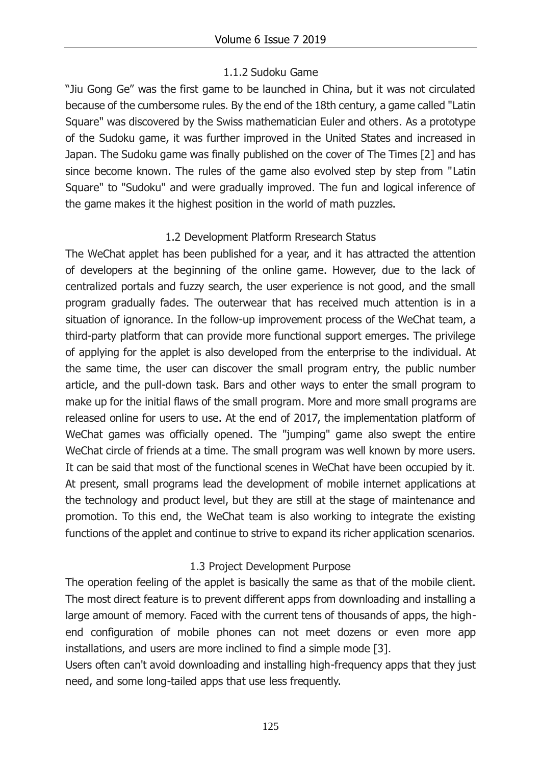## 1.1.2 Sudoku Game

"Jiu Gong Ge" was the first game to be launched in China, but it was not circulated because of the cumbersome rules. By the end of the 18th century, a game called "Latin Square" was discovered by the Swiss mathematician Euler and others. As a prototype of the Sudoku game, it was further improved in the United States and increased in Japan. The Sudoku game was finally published on the cover of The Times [2] and has since become known. The rules of the game also evolved step by step from "Latin Square" to "Sudoku" and were gradually improved. The fun and logical inference of the game makes it the highest position in the world of math puzzles.

## 1.2 Development Platform Rresearch Status

The WeChat applet has been published for a year, and it has attracted the attention of developers at the beginning of the online game. However, due to the lack of centralized portals and fuzzy search, the user experience is not good, and the small program gradually fades. The outerwear that has received much attention is in a situation of ignorance. In the follow-up improvement process of the WeChat team, a third-party platform that can provide more functional support emerges. The privilege of applying for the applet is also developed from the enterprise to the individual. At the same time, the user can discover the small program entry, the public number article, and the pull-down task. Bars and other ways to enter the small program to make up for the initial flaws of the small program. More and more small programs are released online for users to use. At the end of 2017, the implementation platform of WeChat games was officially opened. The "jumping" game also swept the entire WeChat circle of friends at a time. The small program was well known by more users. It can be said that most of the functional scenes in WeChat have been occupied by it. At present, small programs lead the development of mobile internet applications at the technology and product level, but they are still at the stage of maintenance and promotion. To this end, the WeChat team is also working to integrate the existing functions of the applet and continue to strive to expand its richer application scenarios.

# 1.3 Project Development Purpose

The operation feeling of the applet is basically the same as that of the mobile client. The most direct feature is to prevent different apps from downloading and installing a large amount of memory. Faced with the current tens of thousands of apps, the highend configuration of mobile phones can not meet dozens or even more app installations, and users are more inclined to find a simple mode [3].

Users often can't avoid downloading and installing high-frequency apps that they just need, and some long-tailed apps that use less frequently.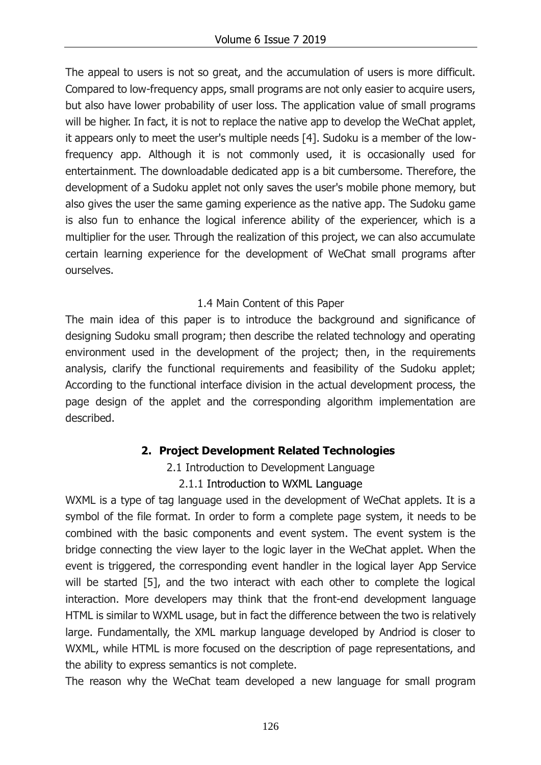The appeal to users is not so great, and the accumulation of users is more difficult. Compared to low-frequency apps, small programs are not only easier to acquire users, but also have lower probability of user loss. The application value of small programs will be higher. In fact, it is not to replace the native app to develop the WeChat applet, it appears only to meet the user's multiple needs [4]. Sudoku is a member of the lowfrequency app. Although it is not commonly used, it is occasionally used for entertainment. The downloadable dedicated app is a bit cumbersome. Therefore, the development of a Sudoku applet not only saves the user's mobile phone memory, but also gives the user the same gaming experience as the native app. The Sudoku game is also fun to enhance the logical inference ability of the experiencer, which is a multiplier for the user. Through the realization of this project, we can also accumulate certain learning experience for the development of WeChat small programs after ourselves.

## 1.4 Main Content of this Paper

The main idea of this paper is to introduce the background and significance of designing Sudoku small program; then describe the related technology and operating environment used in the development of the project; then, in the requirements analysis, clarify the functional requirements and feasibility of the Sudoku applet; According to the functional interface division in the actual development process, the page design of the applet and the corresponding algorithm implementation are described.

# **2. Project Development Related Technologies**

2.1 Introduction to Development Language

## 2.1.1 Introduction to WXML Language

WXML is a type of tag language used in the development of WeChat applets. It is a symbol of the file format. In order to form a complete page system, it needs to be combined with the basic components and event system. The event system is the bridge connecting the view layer to the logic layer in the WeChat applet. When the event is triggered, the corresponding event handler in the logical layer App Service will be started [5], and the two interact with each other to complete the logical interaction. More developers may think that the front-end development language HTML is similar to WXML usage, but in fact the difference between the two is relatively large. Fundamentally, the XML markup language developed by Andriod is closer to WXML, while HTML is more focused on the description of page representations, and the ability to express semantics is not complete.

The reason why the WeChat team developed a new language for small program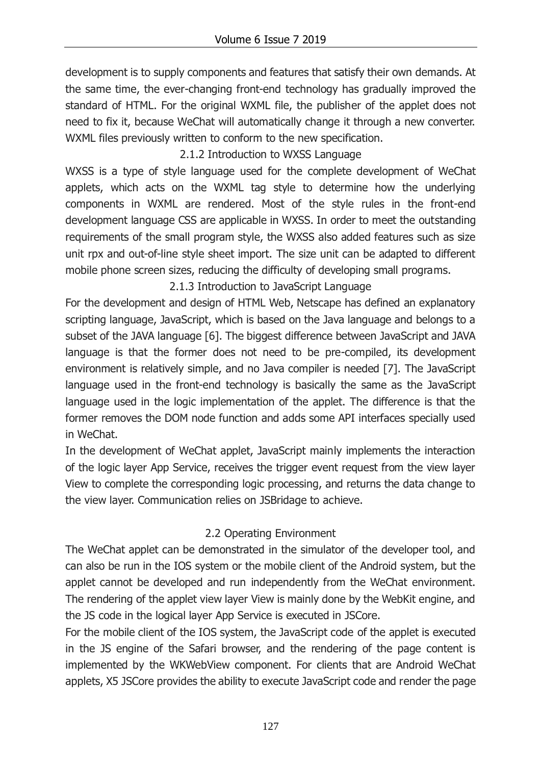development is to supply components and features that satisfy their own demands. At the same time, the ever-changing front-end technology has gradually improved the standard of HTML. For the original WXML file, the publisher of the applet does not need to fix it, because WeChat will automatically change it through a new converter. WXML files previously written to conform to the new specification.

2.1.2 Introduction to WXSS Language

WXSS is a type of style language used for the complete development of WeChat applets, which acts on the WXML tag style to determine how the underlying components in WXML are rendered. Most of the style rules in the front-end development language CSS are applicable in WXSS. In order to meet the outstanding requirements of the small program style, the WXSS also added features such as size unit rpx and out-of-line style sheet import. The size unit can be adapted to different mobile phone screen sizes, reducing the difficulty of developing small programs.

2.1.3 Introduction to JavaScript Language

For the development and design of HTML Web, Netscape has defined an explanatory scripting language, JavaScript, which is based on the Java language and belongs to a subset of the JAVA language [6]. The biggest difference between JavaScript and JAVA language is that the former does not need to be pre-compiled, its development environment is relatively simple, and no Java compiler is needed [7]. The JavaScript language used in the front-end technology is basically the same as the JavaScript language used in the logic implementation of the applet. The difference is that the former removes the DOM node function and adds some API interfaces specially used in WeChat.

In the development of WeChat applet, JavaScript mainly implements the interaction of the logic layer App Service, receives the trigger event request from the view layer View to complete the corresponding logic processing, and returns the data change to the view layer. Communication relies on JSBridage to achieve.

# 2.2 Operating Environment

The WeChat applet can be demonstrated in the simulator of the developer tool, and can also be run in the IOS system or the mobile client of the Android system, but the applet cannot be developed and run independently from the WeChat environment. The rendering of the applet view layer View is mainly done by the WebKit engine, and the JS code in the logical layer App Service is executed in JSCore.

For the mobile client of the IOS system, the JavaScript code of the applet is executed in the JS engine of the Safari browser, and the rendering of the page content is implemented by the WKWebView component. For clients that are Android WeChat applets, X5 JSCore provides the ability to execute JavaScript code and render the page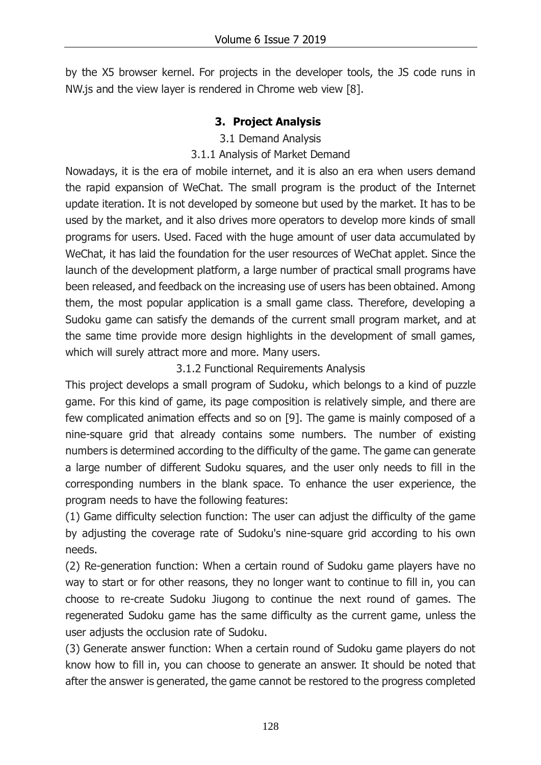by the X5 browser kernel. For projects in the developer tools, the JS code runs in NW.js and the view layer is rendered in Chrome web view [8].

## **3. Project Analysis**

#### 3.1 Demand Analysis

## 3.1.1 Analysis of Market Demand

Nowadays, it is the era of mobile internet, and it is also an era when users demand the rapid expansion of WeChat. The small program is the product of the Internet update iteration. It is not developed by someone but used by the market. It has to be used by the market, and it also drives more operators to develop more kinds of small programs for users. Used. Faced with the huge amount of user data accumulated by WeChat, it has laid the foundation for the user resources of WeChat applet. Since the launch of the development platform, a large number of practical small programs have been released, and feedback on the increasing use of users has been obtained. Among them, the most popular application is a small game class. Therefore, developing a Sudoku game can satisfy the demands of the current small program market, and at the same time provide more design highlights in the development of small games, which will surely attract more and more. Many users.

## 3.1.2 Functional Requirements Analysis

This project develops a small program of Sudoku, which belongs to a kind of puzzle game. For this kind of game, its page composition is relatively simple, and there are few complicated animation effects and so on [9]. The game is mainly composed of a nine-square grid that already contains some numbers. The number of existing numbers is determined according to the difficulty of the game. The game can generate a large number of different Sudoku squares, and the user only needs to fill in the corresponding numbers in the blank space. To enhance the user experience, the program needs to have the following features:

(1) Game difficulty selection function: The user can adjust the difficulty of the game by adjusting the coverage rate of Sudoku's nine-square grid according to his own needs.

(2) Re-generation function: When a certain round of Sudoku game players have no way to start or for other reasons, they no longer want to continue to fill in, you can choose to re-create Sudoku Jiugong to continue the next round of games. The regenerated Sudoku game has the same difficulty as the current game, unless the user adjusts the occlusion rate of Sudoku.

(3) Generate answer function: When a certain round of Sudoku game players do not know how to fill in, you can choose to generate an answer. It should be noted that after the answer is generated, the game cannot be restored to the progress completed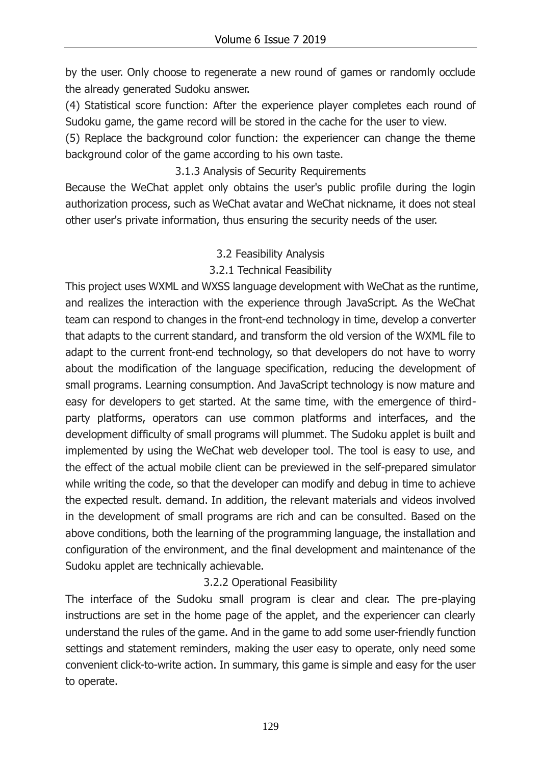by the user. Only choose to regenerate a new round of games or randomly occlude the already generated Sudoku answer.

(4) Statistical score function: After the experience player completes each round of Sudoku game, the game record will be stored in the cache for the user to view.

(5) Replace the background color function: the experiencer can change the theme background color of the game according to his own taste.

## 3.1.3 Analysis of Security Requirements

Because the WeChat applet only obtains the user's public profile during the login authorization process, such as WeChat avatar and WeChat nickname, it does not steal other user's private information, thus ensuring the security needs of the user.

## 3.2 Feasibility Analysis

## 3.2.1 Technical Feasibility

This project uses WXML and WXSS language development with WeChat as the runtime, and realizes the interaction with the experience through JavaScript. As the WeChat team can respond to changes in the front-end technology in time, develop a converter that adapts to the current standard, and transform the old version of the WXML file to adapt to the current front-end technology, so that developers do not have to worry about the modification of the language specification, reducing the development of small programs. Learning consumption. And JavaScript technology is now mature and easy for developers to get started. At the same time, with the emergence of thirdparty platforms, operators can use common platforms and interfaces, and the development difficulty of small programs will plummet. The Sudoku applet is built and implemented by using the WeChat web developer tool. The tool is easy to use, and the effect of the actual mobile client can be previewed in the self-prepared simulator while writing the code, so that the developer can modify and debug in time to achieve the expected result. demand. In addition, the relevant materials and videos involved in the development of small programs are rich and can be consulted. Based on the above conditions, both the learning of the programming language, the installation and configuration of the environment, and the final development and maintenance of the Sudoku applet are technically achievable.

## 3.2.2 Operational Feasibility

The interface of the Sudoku small program is clear and clear. The pre-playing instructions are set in the home page of the applet, and the experiencer can clearly understand the rules of the game. And in the game to add some user-friendly function settings and statement reminders, making the user easy to operate, only need some convenient click-to-write action. In summary, this game is simple and easy for the user to operate.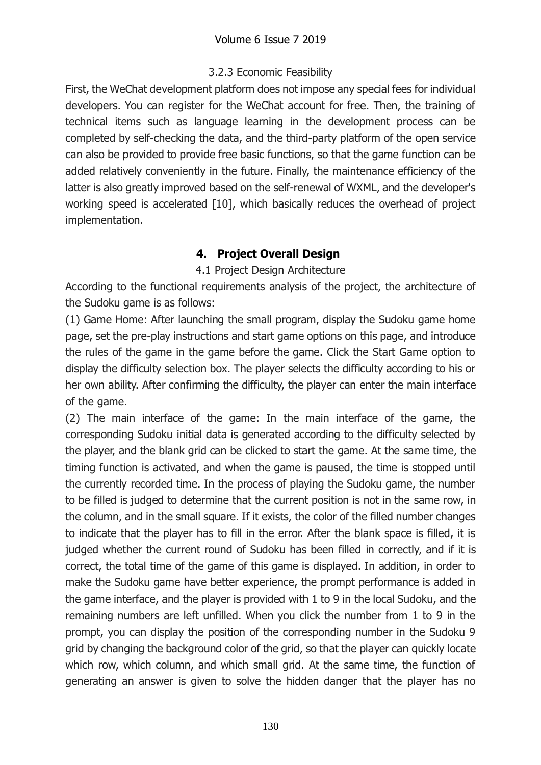## 3.2.3 Economic Feasibility

First, the WeChat development platform does not impose any special fees for individual developers. You can register for the WeChat account for free. Then, the training of technical items such as language learning in the development process can be completed by self-checking the data, and the third-party platform of the open service can also be provided to provide free basic functions, so that the game function can be added relatively conveniently in the future. Finally, the maintenance efficiency of the latter is also greatly improved based on the self-renewal of WXML, and the developer's working speed is accelerated [10], which basically reduces the overhead of project implementation.

# **4. Project Overall Design**

## 4.1 Project Design Architecture

According to the functional requirements analysis of the project, the architecture of the Sudoku game is as follows:

(1) Game Home: After launching the small program, display the Sudoku game home page, set the pre-play instructions and start game options on this page, and introduce the rules of the game in the game before the game. Click the Start Game option to display the difficulty selection box. The player selects the difficulty according to his or her own ability. After confirming the difficulty, the player can enter the main interface of the game.

(2) The main interface of the game: In the main interface of the game, the corresponding Sudoku initial data is generated according to the difficulty selected by the player, and the blank grid can be clicked to start the game. At the same time, the timing function is activated, and when the game is paused, the time is stopped until the currently recorded time. In the process of playing the Sudoku game, the number to be filled is judged to determine that the current position is not in the same row, in the column, and in the small square. If it exists, the color of the filled number changes to indicate that the player has to fill in the error. After the blank space is filled, it is judged whether the current round of Sudoku has been filled in correctly, and if it is correct, the total time of the game of this game is displayed. In addition, in order to make the Sudoku game have better experience, the prompt performance is added in the game interface, and the player is provided with 1 to 9 in the local Sudoku, and the remaining numbers are left unfilled. When you click the number from 1 to 9 in the prompt, you can display the position of the corresponding number in the Sudoku 9 grid by changing the background color of the grid, so that the player can quickly locate which row, which column, and which small grid. At the same time, the function of generating an answer is given to solve the hidden danger that the player has no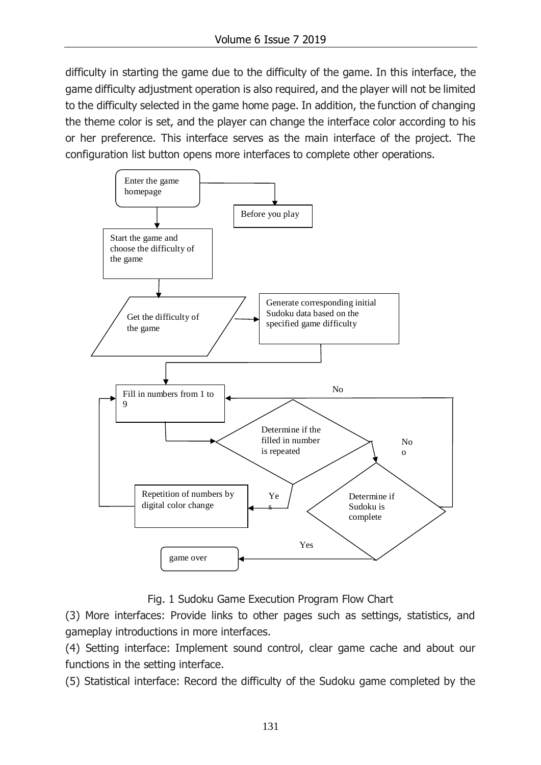difficulty in starting the game due to the difficulty of the game. In this interface, the game difficulty adjustment operation is also required, and the player will not be limited to the difficulty selected in the game home page. In addition, the function of changing the theme color is set, and the player can change the interface color according to his or her preference. This interface serves as the main interface of the project. The configuration list button opens more interfaces to complete other operations.



Fig. 1 Sudoku Game Execution Program Flow Chart

(3) More interfaces: Provide links to other pages such as settings, statistics, and gameplay introductions in more interfaces.

(4) Setting interface: Implement sound control, clear game cache and about our functions in the setting interface.

(5) Statistical interface: Record the difficulty of the Sudoku game completed by the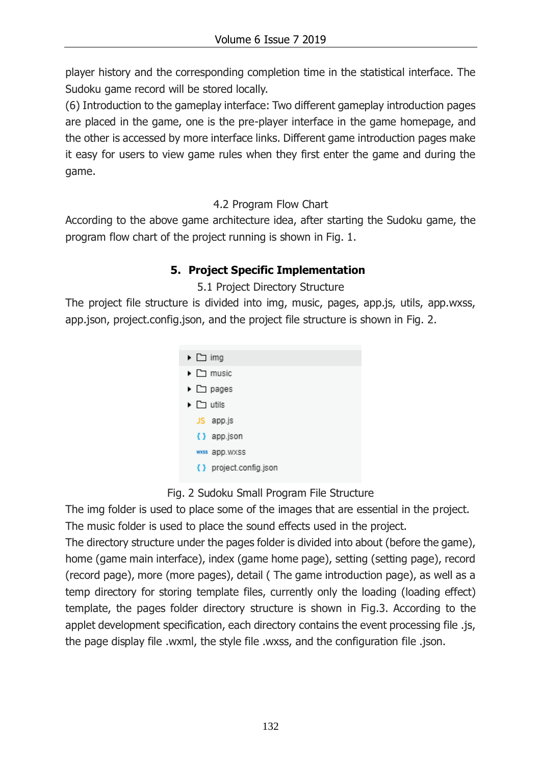player history and the corresponding completion time in the statistical interface. The Sudoku game record will be stored locally.

(6) Introduction to the gameplay interface: Two different gameplay introduction pages are placed in the game, one is the pre-player interface in the game homepage, and the other is accessed by more interface links. Different game introduction pages make it easy for users to view game rules when they first enter the game and during the game.

4.2 Program Flow Chart

According to the above game architecture idea, after starting the Sudoku game, the program flow chart of the project running is shown in Fig. 1.

# **5. Project Specific Implementation**

# 5.1 Project Directory Structure

The project file structure is divided into img, music, pages, app.js, utils, app.wxss, app.json, project.config.json, and the project file structure is shown in Fig. 2.



# Fig. 2 Sudoku Small Program File Structure

The img folder is used to place some of the images that are essential in the project. The music folder is used to place the sound effects used in the project.

The directory structure under the pages folder is divided into about (before the game), home (game main interface), index (game home page), setting (setting page), record (record page), more (more pages), detail ( The game introduction page), as well as a temp directory for storing template files, currently only the loading (loading effect) template, the pages folder directory structure is shown in Fig.3. According to the applet development specification, each directory contains the event processing file .js, the page display file .wxml, the style file .wxss, and the configuration file .json.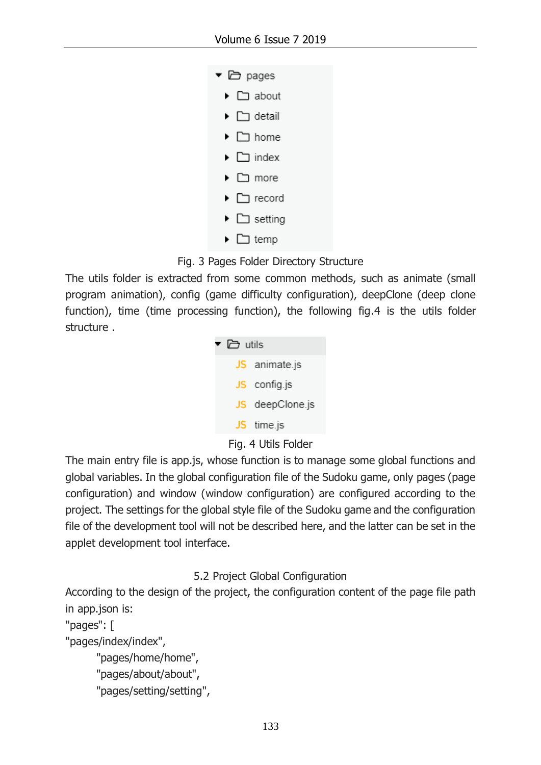| □ pages<br>▼ |                                     |
|--------------|-------------------------------------|
|              | $\triangleright$ $\square$ about    |
|              | $\blacktriangleright$ $\Box$ detail |
|              | ▶ □ home                            |
| ▶            | $\Box$ index                        |
|              | ▶ □ more                            |
| ▸            | $\Box$ record                       |
| ▶            | $\square$ setting                   |
|              | temp ∟ <                            |

## Fig. 3 Pages Folder Directory Structure

The utils folder is extracted from some common methods, such as animate (small program animation), config (game difficulty configuration), deepClone (deep clone function), time (time processing function), the following fig.4 is the utils folder structure .



## Fig. 4 Utils Folder

The main entry file is app.js, whose function is to manage some global functions and global variables. In the global configuration file of the Sudoku game, only pages (page configuration) and window (window configuration) are configured according to the project. The settings for the global style file of the Sudoku game and the configuration file of the development tool will not be described here, and the latter can be set in the applet development tool interface.

## 5.2 Project Global Configuration

According to the design of the project, the configuration content of the page file path in app.json is:

```
"pages": [
```
"pages/index/index",

```
 "pages/home/home",
```

```
 "pages/about/about",
```

```
 "pages/setting/setting",
```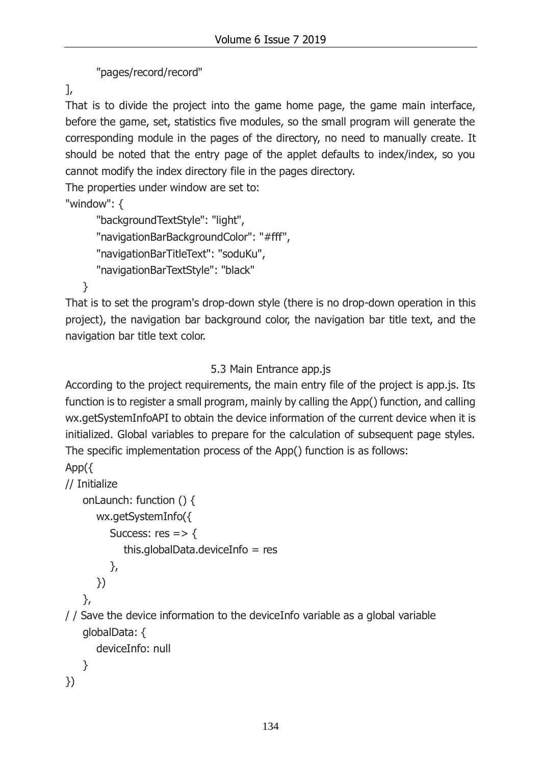"pages/record/record"

],

That is to divide the project into the game home page, the game main interface, before the game, set, statistics five modules, so the small program will generate the corresponding module in the pages of the directory, no need to manually create. It should be noted that the entry page of the applet defaults to index/index, so you cannot modify the index directory file in the pages directory.

The properties under window are set to:

"window": {

```
"backgroundTextStyle": "light",
"navigationBarBackgroundColor": "#fff",
"navigationBarTitleText": "soduKu",
"navigationBarTextStyle": "black"
```
}

That is to set the program's drop-down style (there is no drop-down operation in this project), the navigation bar background color, the navigation bar title text, and the navigation bar title text color.

# 5.3 Main Entrance app.js

According to the project requirements, the main entry file of the project is app.js. Its function is to register a small program, mainly by calling the App() function, and calling wx.getSystemInfoAPI to obtain the device information of the current device when it is initialized. Global variables to prepare for the calculation of subsequent page styles. The specific implementation process of the App() function is as follows:

```
App({
```

```
// Initialize
```

```
onLaunch: function () {
  wx.getSystemInfo({
     Success: res = > \{this.globalData.deviceInfo = res
     },
  })
},
```
/ / Save the device information to the deviceInfo variable as a global variable globalData: {

deviceInfo: null

```
}
})
```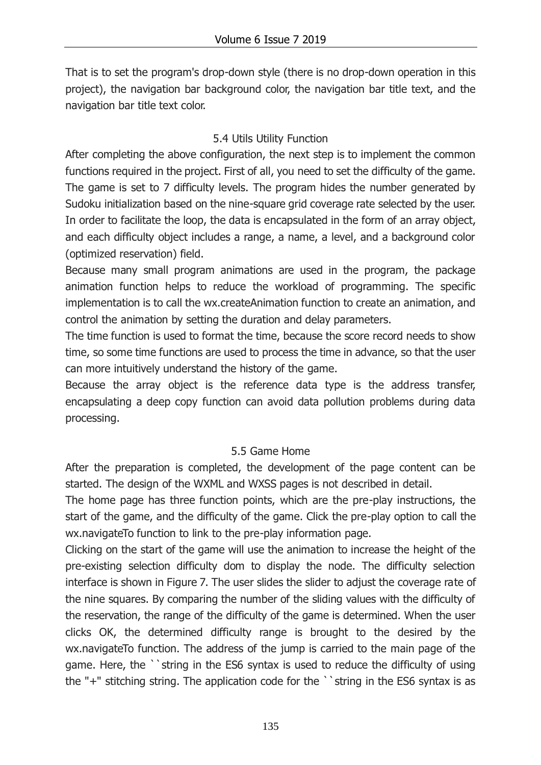That is to set the program's drop-down style (there is no drop-down operation in this project), the navigation bar background color, the navigation bar title text, and the navigation bar title text color.

# 5.4 Utils Utility Function

After completing the above configuration, the next step is to implement the common functions required in the project. First of all, you need to set the difficulty of the game. The game is set to 7 difficulty levels. The program hides the number generated by Sudoku initialization based on the nine-square grid coverage rate selected by the user. In order to facilitate the loop, the data is encapsulated in the form of an array object, and each difficulty object includes a range, a name, a level, and a background color (optimized reservation) field.

Because many small program animations are used in the program, the package animation function helps to reduce the workload of programming. The specific implementation is to call the wx.createAnimation function to create an animation, and control the animation by setting the duration and delay parameters.

The time function is used to format the time, because the score record needs to show time, so some time functions are used to process the time in advance, so that the user can more intuitively understand the history of the game.

Because the array object is the reference data type is the address transfer, encapsulating a deep copy function can avoid data pollution problems during data processing.

# 5.5 Game Home

After the preparation is completed, the development of the page content can be started. The design of the WXML and WXSS pages is not described in detail.

The home page has three function points, which are the pre-play instructions, the start of the game, and the difficulty of the game. Click the pre-play option to call the wx.navigateTo function to link to the pre-play information page.

Clicking on the start of the game will use the animation to increase the height of the pre-existing selection difficulty dom to display the node. The difficulty selection interface is shown in Figure 7. The user slides the slider to adjust the coverage rate of the nine squares. By comparing the number of the sliding values with the difficulty of the reservation, the range of the difficulty of the game is determined. When the user clicks OK, the determined difficulty range is brought to the desired by the wx.navigateTo function. The address of the jump is carried to the main page of the game. Here, the ``string in the ES6 syntax is used to reduce the difficulty of using the "+" stitching string. The application code for the ``string in the ES6 syntax is as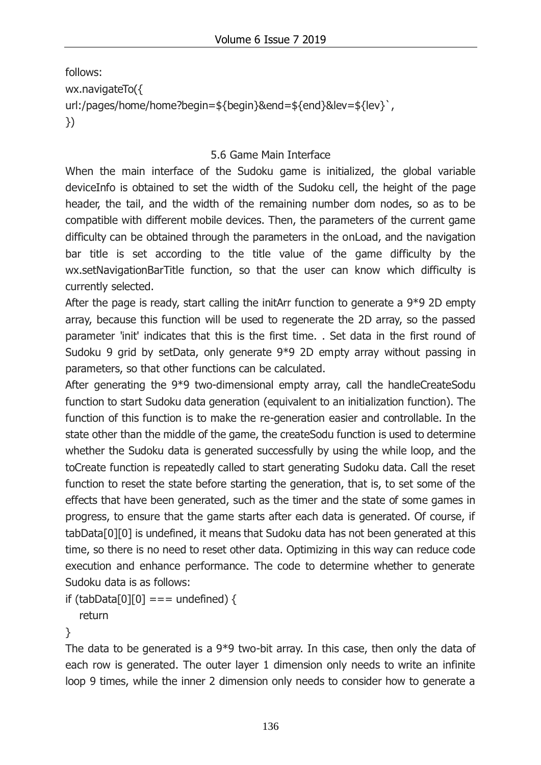follows: wx.navigateTo({ url:/pages/home/home?begin=\${begin}&end=\${end}&lev=\${lev}`, })

## 5.6 Game Main Interface

When the main interface of the Sudoku game is initialized, the global variable deviceInfo is obtained to set the width of the Sudoku cell, the height of the page header, the tail, and the width of the remaining number dom nodes, so as to be compatible with different mobile devices. Then, the parameters of the current game difficulty can be obtained through the parameters in the onLoad, and the navigation bar title is set according to the title value of the game difficulty by the wx.setNavigationBarTitle function, so that the user can know which difficulty is currently selected.

After the page is ready, start calling the initArr function to generate a 9\*9 2D empty array, because this function will be used to regenerate the 2D array, so the passed parameter 'init' indicates that this is the first time. . Set data in the first round of Sudoku 9 grid by setData, only generate 9\*9 2D empty array without passing in parameters, so that other functions can be calculated.

After generating the 9\*9 two-dimensional empty array, call the handleCreateSodu function to start Sudoku data generation (equivalent to an initialization function). The function of this function is to make the re-generation easier and controllable. In the state other than the middle of the game, the createSodu function is used to determine whether the Sudoku data is generated successfully by using the while loop, and the toCreate function is repeatedly called to start generating Sudoku data. Call the reset function to reset the state before starting the generation, that is, to set some of the effects that have been generated, such as the timer and the state of some games in progress, to ensure that the game starts after each data is generated. Of course, if tabData[0][0] is undefined, it means that Sudoku data has not been generated at this time, so there is no need to reset other data. Optimizing in this way can reduce code execution and enhance performance. The code to determine whether to generate Sudoku data is as follows:

```
if (tabData[0][0] === undefined) {
```
return

}

The data to be generated is a 9\*9 two-bit array. In this case, then only the data of each row is generated. The outer layer 1 dimension only needs to write an infinite loop 9 times, while the inner 2 dimension only needs to consider how to generate a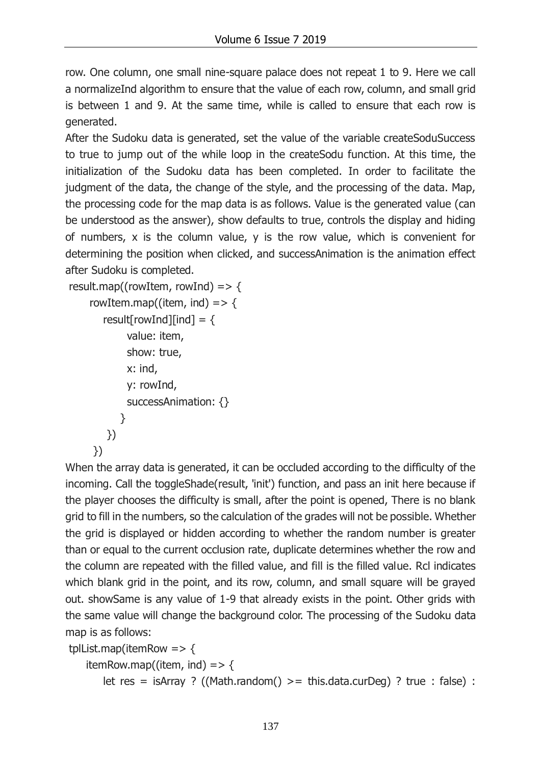row. One column, one small nine-square palace does not repeat 1 to 9. Here we call a normalizeInd algorithm to ensure that the value of each row, column, and small grid is between 1 and 9. At the same time, while is called to ensure that each row is generated.

After the Sudoku data is generated, set the value of the variable createSoduSuccess to true to jump out of the while loop in the createSodu function. At this time, the initialization of the Sudoku data has been completed. In order to facilitate the judgment of the data, the change of the style, and the processing of the data. Map, the processing code for the map data is as follows. Value is the generated value (can be understood as the answer), show defaults to true, controls the display and hiding of numbers, x is the column value, y is the row value, which is convenient for determining the position when clicked, and successAnimation is the animation effect after Sudoku is completed.

```
result.map((rowItem, rowInd) => \{rowItem.map((item, ind) => \{result[rowInd][ind] = \{ value: item,
             show: true,
             x: ind,
             y: rowInd,
             successAnimation: {}
           }
        })
      })
```
When the array data is generated, it can be occluded according to the difficulty of the incoming. Call the toggleShade(result, 'init') function, and pass an init here because if the player chooses the difficulty is small, after the point is opened, There is no blank grid to fill in the numbers, so the calculation of the grades will not be possible. Whether the grid is displayed or hidden according to whether the random number is greater than or equal to the current occlusion rate, duplicate determines whether the row and the column are repeated with the filled value, and fill is the filled value. Rcl indicates which blank grid in the point, and its row, column, and small square will be grayed out. showSame is any value of 1-9 that already exists in the point. Other grids with the same value will change the background color. The processing of the Sudoku data map is as follows:

tplList.map(itemRow =>  $\{$ itemRow.map((item, ind) => { let res = isArray ? ((Math.random()  $>$  = this.data.curDeg) ? true : false) :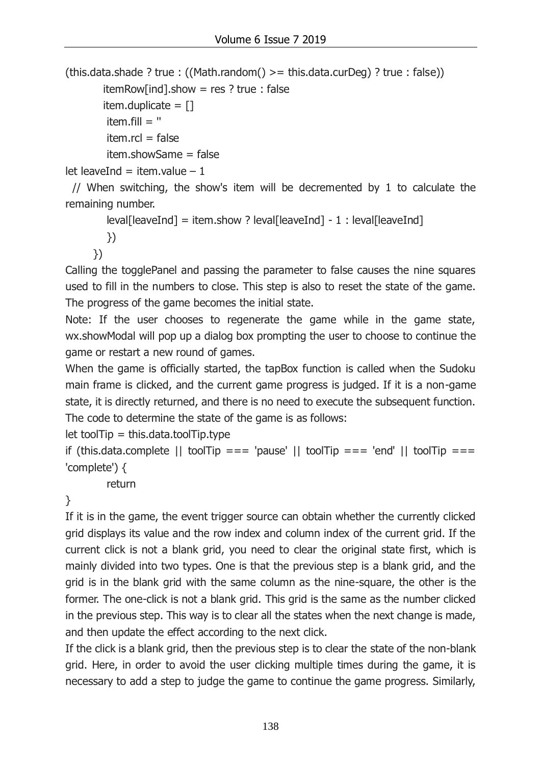(this.data.shade ? true : ((Math.random()  $>$  = this.data.curDeg) ? true : false))

 $itemRow[ind].show = res ? true : false$ 

```
item.duplicate = []
```
item.fill  $=$  "

```
item.rcl = false
```
item.showSame = false

let leaveInd = item.value  $-1$ 

 // When switching, the show's item will be decremented by 1 to calculate the remaining number.

 $\text{level}$ [leaveInd] = item.show ? leval[leaveInd] - 1 : leval[leaveInd]

})

})

Calling the togglePanel and passing the parameter to false causes the nine squares used to fill in the numbers to close. This step is also to reset the state of the game. The progress of the game becomes the initial state.

Note: If the user chooses to regenerate the game while in the game state, wx.showModal will pop up a dialog box prompting the user to choose to continue the game or restart a new round of games.

When the game is officially started, the tapBox function is called when the Sudoku main frame is clicked, and the current game progress is judged. If it is a non-game state, it is directly returned, and there is no need to execute the subsequent function. The code to determine the state of the game is as follows:

 $let$  toolTip = this.data.toolTip.type

```
if (this.data.complete || toolTip === 'pause' || toolTip === 'end' || toolTip ===
'complete') {
```
return

}

If it is in the game, the event trigger source can obtain whether the currently clicked grid displays its value and the row index and column index of the current grid. If the current click is not a blank grid, you need to clear the original state first, which is mainly divided into two types. One is that the previous step is a blank grid, and the grid is in the blank grid with the same column as the nine-square, the other is the former. The one-click is not a blank grid. This grid is the same as the number clicked in the previous step. This way is to clear all the states when the next change is made, and then update the effect according to the next click.

If the click is a blank grid, then the previous step is to clear the state of the non-blank grid. Here, in order to avoid the user clicking multiple times during the game, it is necessary to add a step to judge the game to continue the game progress. Similarly,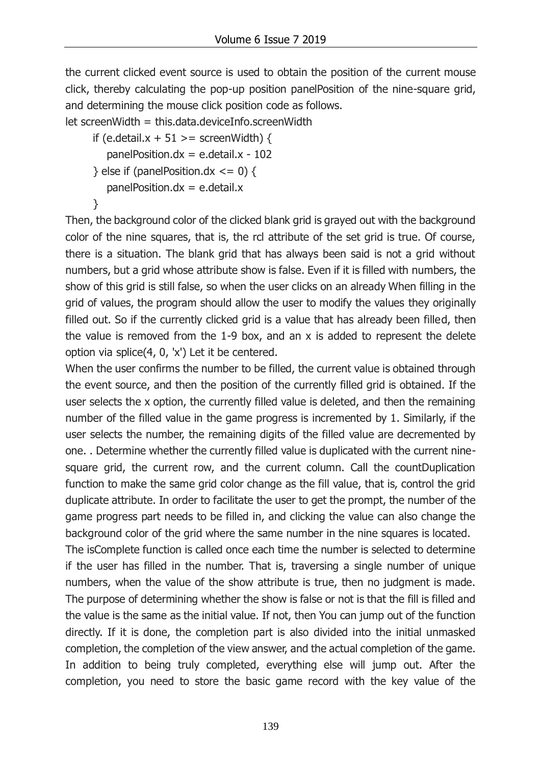the current clicked event source is used to obtain the position of the current mouse click, thereby calculating the pop-up position panelPosition of the nine-square grid, and determining the mouse click position code as follows.

```
let screenWidth = this.data.deviceInfo.screenWidth
```
if (e.detail. $x + 51$  > = screenWidth) { panelPosition.dx = e.detail. $x - 102$ 

} else if (panelPosition.dx  $\leq$  = 0) {

```
panel Position. dx = e. detail.x
```

```
 }
```
Then, the background color of the clicked blank grid is grayed out with the background color of the nine squares, that is, the rcl attribute of the set grid is true. Of course, there is a situation. The blank grid that has always been said is not a grid without numbers, but a grid whose attribute show is false. Even if it is filled with numbers, the show of this grid is still false, so when the user clicks on an already When filling in the grid of values, the program should allow the user to modify the values they originally filled out. So if the currently clicked grid is a value that has already been filled, then the value is removed from the 1-9 box, and an x is added to represent the delete option via splice(4, 0, 'x') Let it be centered.

When the user confirms the number to be filled, the current value is obtained through the event source, and then the position of the currently filled grid is obtained. If the user selects the x option, the currently filled value is deleted, and then the remaining number of the filled value in the game progress is incremented by 1. Similarly, if the user selects the number, the remaining digits of the filled value are decremented by one. . Determine whether the currently filled value is duplicated with the current ninesquare grid, the current row, and the current column. Call the countDuplication function to make the same grid color change as the fill value, that is, control the grid duplicate attribute. In order to facilitate the user to get the prompt, the number of the game progress part needs to be filled in, and clicking the value can also change the background color of the grid where the same number in the nine squares is located.

The isComplete function is called once each time the number is selected to determine if the user has filled in the number. That is, traversing a single number of unique numbers, when the value of the show attribute is true, then no judgment is made. The purpose of determining whether the show is false or not is that the fill is filled and the value is the same as the initial value. If not, then You can jump out of the function directly. If it is done, the completion part is also divided into the initial unmasked completion, the completion of the view answer, and the actual completion of the game. In addition to being truly completed, everything else will jump out. After the completion, you need to store the basic game record with the key value of the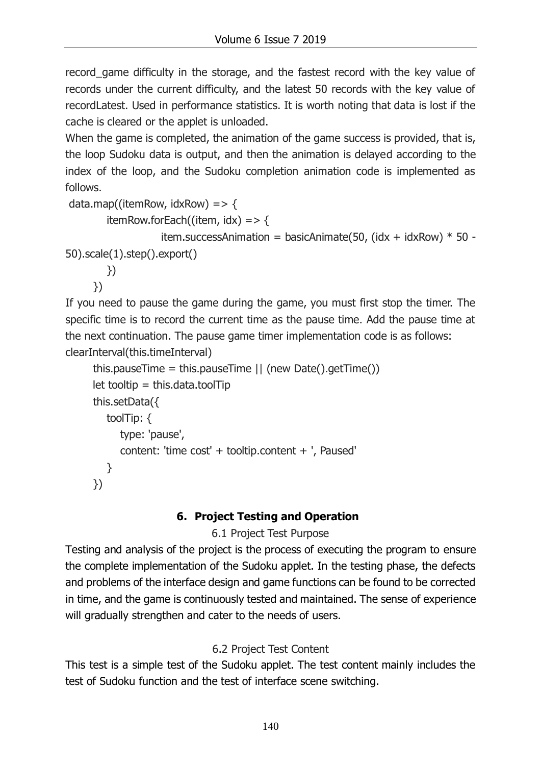record\_game difficulty in the storage, and the fastest record with the key value of records under the current difficulty, and the latest 50 records with the key value of recordLatest. Used in performance statistics. It is worth noting that data is lost if the cache is cleared or the applet is unloaded.

When the game is completed, the animation of the game success is provided, that is, the loop Sudoku data is output, and then the animation is delayed according to the index of the loop, and the Sudoku completion animation code is implemented as follows.

```
data.map((itemRow, idxRow) => {
```

```
itemRow.forEach((item, idx) => {
```

```
item.successAnimation = basicAnimate(50, (idx + idxRow) * 50 -
50).scale(1).step().export()
```
})

})

If you need to pause the game during the game, you must first stop the timer. The specific time is to record the current time as the pause time. Add the pause time at the next continuation. The pause game timer implementation code is as follows: clearInterval(this.timeInterval)

```
 this.pauseTime = this.pauseTime || (new Date().getTime())
let tooltip = this.data.toolTip
 this.setData({
    toolTip: {
      type: 'pause',
      content: 'time cost' + tooltip.content + ', Paused'
    }
 })
```
# **6. Project Testing and Operation**

# 6.1 Project Test Purpose

Testing and analysis of the project is the process of executing the program to ensure the complete implementation of the Sudoku applet. In the testing phase, the defects and problems of the interface design and game functions can be found to be corrected in time, and the game is continuously tested and maintained. The sense of experience will gradually strengthen and cater to the needs of users.

# 6.2 Project Test Content

This test is a simple test of the Sudoku applet. The test content mainly includes the test of Sudoku function and the test of interface scene switching.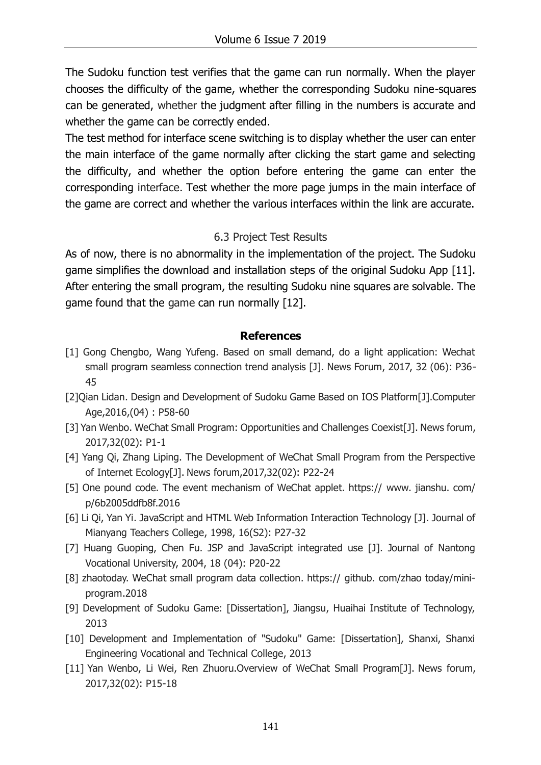The Sudoku function test verifies that the game can run normally. When the player chooses the difficulty of the game, whether the corresponding Sudoku nine-squares can be generated, whether the judgment after filling in the numbers is accurate and whether the game can be correctly ended.

The test method for interface scene switching is to display whether the user can enter the main interface of the game normally after clicking the start game and selecting the difficulty, and whether the option before entering the game can enter the corresponding interface. Test whether the more page jumps in the main interface of the game are correct and whether the various interfaces within the link are accurate.

#### 6.3 Project Test Results

As of now, there is no abnormality in the implementation of the project. The Sudoku game simplifies the download and installation steps of the original Sudoku App [11]. After entering the small program, the resulting Sudoku nine squares are solvable. The game found that the game can run normally [12].

#### **References**

- [1] Gong Chengbo, Wang Yufeng. Based on small demand, do a light application: Wechat small program seamless connection trend analysis [J]. News Forum, 2017, 32 (06): P36- 45
- [2]Qian Lidan. Design and Development of Sudoku Game Based on IOS Platform[J].Computer Age,2016,(04) : P58-60
- [3] Yan Wenbo. WeChat Small Program: Opportunities and Challenges Coexist[J]. News forum, 2017,32(02): P1-1
- [4] Yang Qi, Zhang Liping. The Development of WeChat Small Program from the Perspective of Internet Ecology[J]. News forum,2017,32(02): P22-24
- [5] One pound code. The event mechanism of WeChat applet. https:// www. jianshu. com/ p/6b2005ddfb8f.2016
- [6] Li Qi, Yan Yi. JavaScript and HTML Web Information Interaction Technology [J]. Journal of Mianyang Teachers College, 1998, 16(S2): P27-32
- [7] Huang Guoping, Chen Fu. JSP and JavaScript integrated use [J]. Journal of Nantong Vocational University, 2004, 18 (04): P20-22
- [8] zhaotoday. WeChat small program data collection. https:// github. com/zhao today/miniprogram.2018
- [9] Development of Sudoku Game: [Dissertation], Jiangsu, Huaihai Institute of Technology, 2013
- [10] Development and Implementation of "Sudoku" Game: [Dissertation], Shanxi, Shanxi Engineering Vocational and Technical College, 2013
- [11] Yan Wenbo, Li Wei, Ren Zhuoru.Overview of WeChat Small Program[J]. News forum, 2017,32(02): P15-18